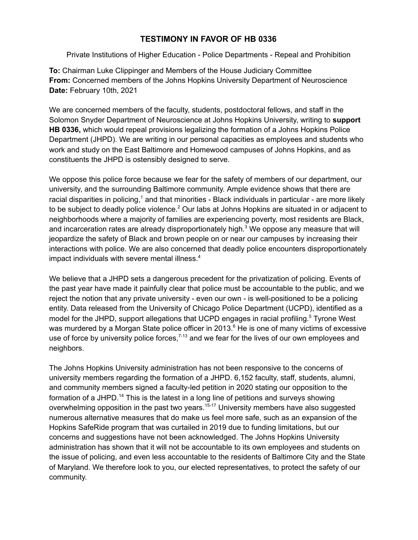## **TESTIMONY IN FAVOR OF HB 0336**

Private Institutions of Higher Education - Police Departments - Repeal and Prohibition

**To:** Chairman Luke Clippinger and Members of the House Judiciary Committee **From:** Concerned members of the Johns Hopkins University Department of Neuroscience **Date:** February 10th, 2021

We are concerned members of the faculty, students, postdoctoral fellows, and staff in the Solomon Snyder Department of Neuroscience at Johns Hopkins University, writing to **support HB 0336,** which would repeal provisions legalizing the formation of a Johns Hopkins Police Department (JHPD). We are writing in our personal capacities as employees and students who work and study on the East Baltimore and Homewood campuses of Johns Hopkins, and as constituents the JHPD is ostensibly designed to serve.

We oppose this police force because we fear for the safety of members of our department, our university, and the surrounding Baltimore community. Ample evidence shows that there are racial disparities in policing,<sup>1</sup> and that minorities - Black individuals in particular - are more likely to be subject to deadly police violence.<sup>2</sup> Our labs at Johns Hopkins are situated in or adjacent to neighborhoods where a majority of families are experiencing poverty, most residents are Black, and incarceration rates are already disproportionately high.<sup>3</sup> We oppose any measure that will jeopardize the safety of Black and brown people on or near our campuses by increasing their interactions with police. We are also concerned that deadly police encounters disproportionately impact individuals with severe mental illness. 4

We believe that a JHPD sets a dangerous precedent for the privatization of policing. Events of the past year have made it painfully clear that police must be accountable to the public, and we reject the notion that any private university - even our own - is well-positioned to be a policing entity. Data released from the University of Chicago Police Department (UCPD), identified as a model for the JHPD, support allegations that UCPD engages in racial profiling.<sup>5</sup> Tyrone West was murdered by a Morgan State police officer in 2013.<sup>6</sup> He is one of many victims of excessive use of force by university police forces,  $7-13$  and we fear for the lives of our own employees and neighbors.

The Johns Hopkins University administration has not been responsive to the concerns of university members regarding the formation of a JHPD. 6,152 faculty, staff, students, alumni, and community members signed a faculty-led petition in 2020 stating our opposition to the formation of a JHPD.<sup>14</sup> This is the latest in a long line of petitions and surveys showing overwhelming opposition in the past two years.<sup>15-17</sup> University members have also suggested numerous alternative measures that do make us feel more safe, such as an expansion of the Hopkins SafeRide program that was curtailed in 2019 due to funding limitations, but our concerns and suggestions have not been acknowledged. The Johns Hopkins University administration has shown that it will not be accountable to its own employees and students on the issue of policing, and even less accountable to the residents of Baltimore City and the State of Maryland. We therefore look to you, our elected representatives, to protect the safety of our community.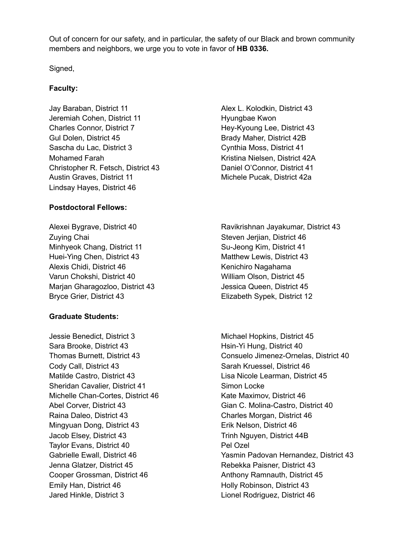Out of concern for our safety, and in particular, the safety of our Black and brown community members and neighbors, we urge you to vote in favor of **HB 0336.**

Signed,

## **Faculty:**

Jay Baraban, District 11 Jeremiah Cohen, District 11 Charles Connor, District 7 Gul Dolen, District 45 Sascha du Lac, District 3 Mohamed Farah Christopher R. Fetsch, District 43 Austin Graves, District 11 Lindsay Hayes, District 46

## **Postdoctoral Fellows:**

Alexei Bygrave, District 40 Zuying Chai Minhyeok Chang, District 11 Huei-Ying Chen, District 43 Alexis Chidi, District 46 Varun Chokshi, District 40 Marjan Gharagozloo, District 43 Bryce Grier, District 43

## **Graduate Students:**

Jessie Benedict, District 3 Sara Brooke, District 43 Thomas Burnett, District 43 Cody Call, District 43 Matilde Castro, District 43 Sheridan Cavalier, District 41 Michelle Chan-Cortes, District 46 Abel Corver, District 43 Raina Daleo, District 43 Mingyuan Dong, District 43 Jacob Elsey, District 43 Taylor Evans, District 40 Gabrielle Ewall, District 46 Jenna Glatzer, District 45 Cooper Grossman, District 46 Emily Han, District 46 Jared Hinkle, District 3

Alex L. Kolodkin, District 43 Hyungbae Kwon Hey-Kyoung Lee, District 43 Brady Maher, District 42B Cynthia Moss, District 41 Kristina Nielsen, District 42A Daniel O'Connor, District 41 Michele Pucak, District 42a

Ravikrishnan Jayakumar, District 43 Steven Jerijan, District 46 Su-Jeong Kim, District 41 Matthew Lewis, District 43 Kenichiro Nagahama William Olson, District 45 Jessica Queen, District 45 Elizabeth Sypek, District 12

Michael Hopkins, District 45 Hsin-Yi Hung, District 40 Consuelo Jimenez-Ornelas, District 40 Sarah Kruessel, District 46 Lisa Nicole Learman, District 45 Simon Locke Kate Maximov, District 46 Gian C. Molina-Castro, District 40 Charles Morgan, District 46 Erik Nelson, District 46 Trinh Nguyen, District 44B Pel Ozel Yasmin Padovan Hernandez, District 43 Rebekka Paisner, District 43 Anthony Ramnauth, District 45 Holly Robinson, District 43 Lionel Rodriguez, District 46